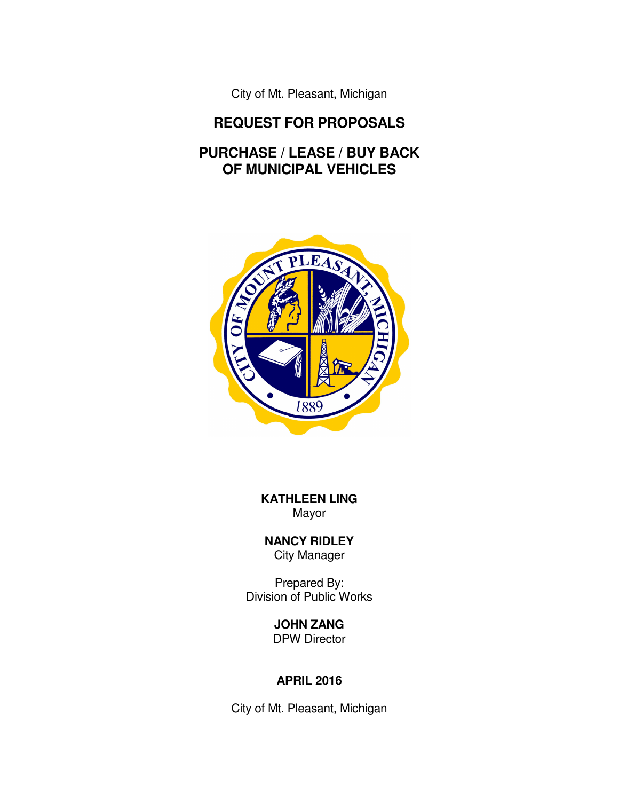City of Mt. Pleasant, Michigan

## **REQUEST FOR PROPOSALS**

# **PURCHASE / LEASE / BUY BACK OF MUNICIPAL VEHICLES**



**KATHLEEN LING**  Mayor

**NANCY RIDLEY**  City Manager

Prepared By: Division of Public Works

> **JOHN ZANG**  DPW Director

## **APRIL 2016**

City of Mt. Pleasant, Michigan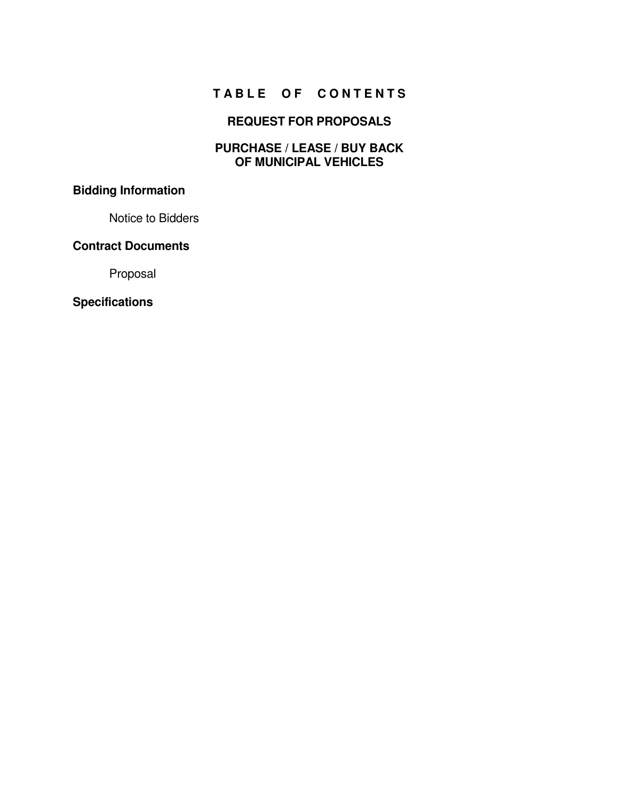# **T A B L E O F C O N T E N T S**

## **REQUEST FOR PROPOSALS**

#### **PURCHASE / LEASE / BUY BACK OF MUNICIPAL VEHICLES**

# **Bidding Information**

Notice to Bidders

#### **Contract Documents**

Proposal

#### **Specifications**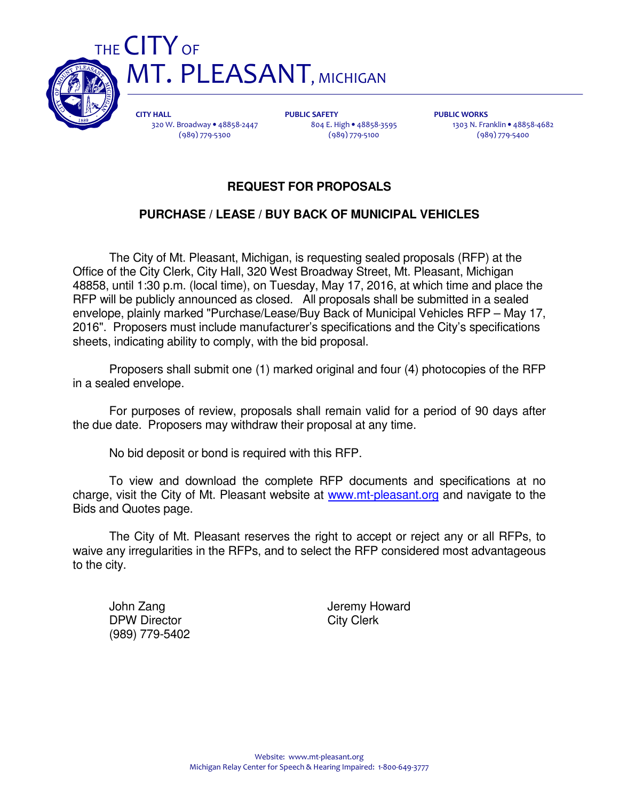



CITY HALL 320 W. Broadway • 48858-2447 (989) 779-5300

PUBLIC SAFETY 804 E. High • 48858-3595 (989) 779-5100

PUBLIC WORKS 1303 N. Franklin • 48858-4682 (989) 779-5400

## **REQUEST FOR PROPOSALS**

## **PURCHASE / LEASE / BUY BACK OF MUNICIPAL VEHICLES**

 The City of Mt. Pleasant, Michigan, is requesting sealed proposals (RFP) at the Office of the City Clerk, City Hall, 320 West Broadway Street, Mt. Pleasant, Michigan 48858, until 1:30 p.m. (local time), on Tuesday, May 17, 2016, at which time and place the RFP will be publicly announced as closed. All proposals shall be submitted in a sealed envelope, plainly marked "Purchase/Lease/Buy Back of Municipal Vehicles RFP – May 17, 2016". Proposers must include manufacturer's specifications and the City's specifications sheets, indicating ability to comply, with the bid proposal.

 Proposers shall submit one (1) marked original and four (4) photocopies of the RFP in a sealed envelope.

 For purposes of review, proposals shall remain valid for a period of 90 days after the due date. Proposers may withdraw their proposal at any time.

No bid deposit or bond is required with this RFP.

 To view and download the complete RFP documents and specifications at no charge, visit the City of Mt. Pleasant website at www.mt-pleasant.org and navigate to the Bids and Quotes page.

 The City of Mt. Pleasant reserves the right to accept or reject any or all RFPs, to waive any irregularities in the RFPs, and to select the RFP considered most advantageous to the city.

DPW Director City Clerk (989) 779-5402

John Zang **John Zang Termy Howard**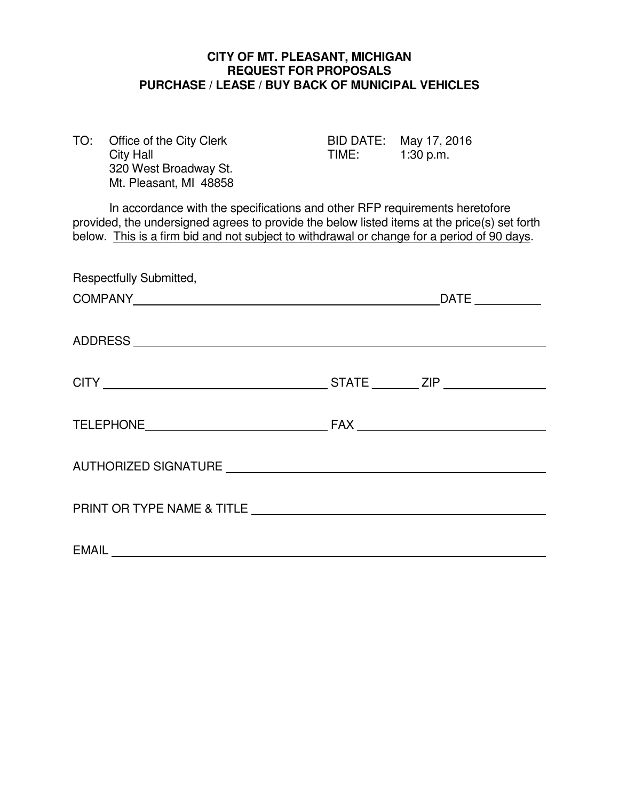#### **CITY OF MT. PLEASANT, MICHIGAN REQUEST FOR PROPOSALS PURCHASE / LEASE / BUY BACK OF MUNICIPAL VEHICLES**

| TO: | Office of the City Clerk |
|-----|--------------------------|
|     | <b>City Hall</b>         |
|     | 320 West Broadway St.    |
|     | Mt. Pleasant, MI 48858   |

BID DATE: May 17, 2016  $TIME: 1:30 p.m.$ 

 In accordance with the specifications and other RFP requirements heretofore provided, the undersigned agrees to provide the below listed items at the price(s) set forth below. This is a firm bid and not subject to withdrawal or change for a period of 90 days.

| Respectfully Submitted, |  |  |
|-------------------------|--|--|
|                         |  |  |
|                         |  |  |
|                         |  |  |
|                         |  |  |
|                         |  |  |
|                         |  |  |
| <b>EMAIL</b>            |  |  |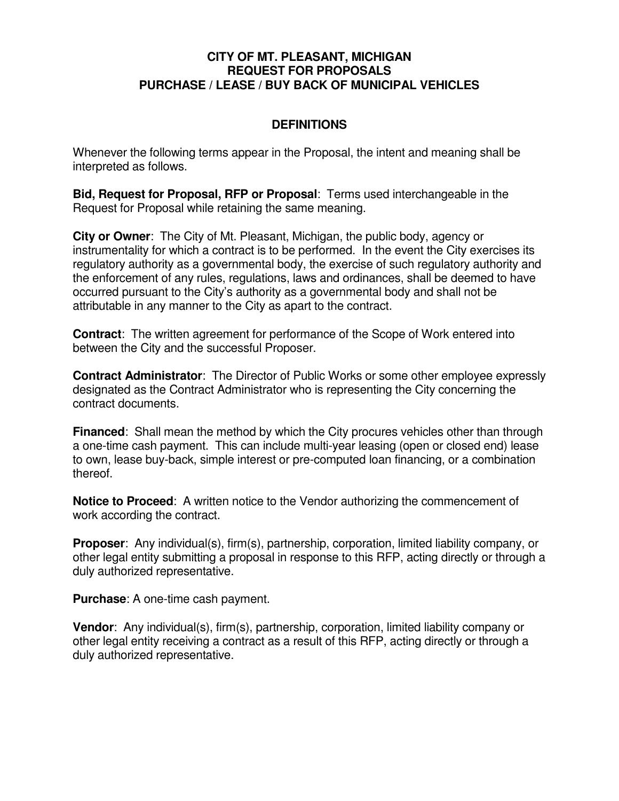#### **CITY OF MT. PLEASANT, MICHIGAN REQUEST FOR PROPOSALS PURCHASE / LEASE / BUY BACK OF MUNICIPAL VEHICLES**

## **DEFINITIONS**

Whenever the following terms appear in the Proposal, the intent and meaning shall be interpreted as follows.

**Bid, Request for Proposal, RFP or Proposal**: Terms used interchangeable in the Request for Proposal while retaining the same meaning.

**City or Owner**: The City of Mt. Pleasant, Michigan, the public body, agency or instrumentality for which a contract is to be performed. In the event the City exercises its regulatory authority as a governmental body, the exercise of such regulatory authority and the enforcement of any rules, regulations, laws and ordinances, shall be deemed to have occurred pursuant to the City's authority as a governmental body and shall not be attributable in any manner to the City as apart to the contract.

**Contract**: The written agreement for performance of the Scope of Work entered into between the City and the successful Proposer.

**Contract Administrator**: The Director of Public Works or some other employee expressly designated as the Contract Administrator who is representing the City concerning the contract documents.

**Financed:** Shall mean the method by which the City procures vehicles other than through a one-time cash payment. This can include multi-year leasing (open or closed end) lease to own, lease buy-back, simple interest or pre-computed loan financing, or a combination thereof.

**Notice to Proceed**: A written notice to the Vendor authorizing the commencement of work according the contract.

**Proposer**: Any individual(s), firm(s), partnership, corporation, limited liability company, or other legal entity submitting a proposal in response to this RFP, acting directly or through a duly authorized representative.

**Purchase**: A one-time cash payment.

**Vendor**: Any individual(s), firm(s), partnership, corporation, limited liability company or other legal entity receiving a contract as a result of this RFP, acting directly or through a duly authorized representative.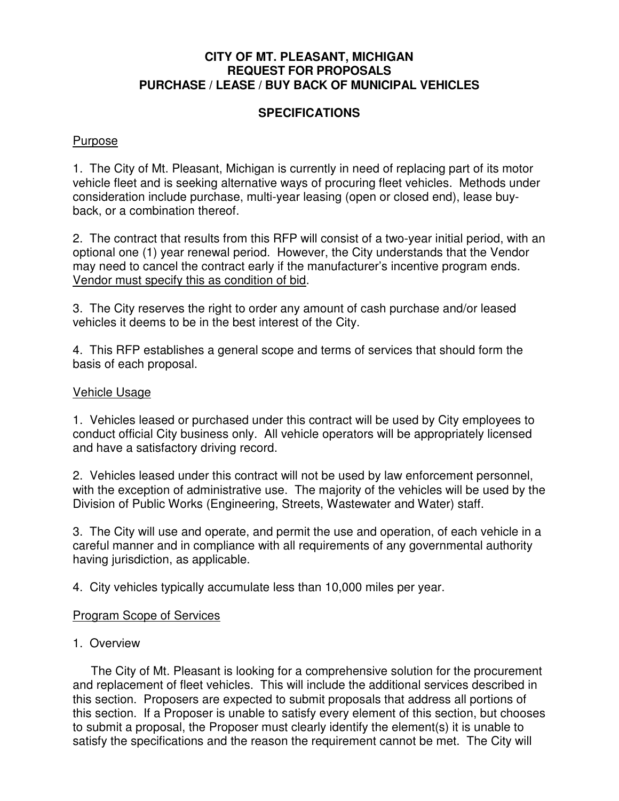#### **CITY OF MT. PLEASANT, MICHIGAN REQUEST FOR PROPOSALS PURCHASE / LEASE / BUY BACK OF MUNICIPAL VEHICLES**

## **SPECIFICATIONS**

#### Purpose

1. The City of Mt. Pleasant, Michigan is currently in need of replacing part of its motor vehicle fleet and is seeking alternative ways of procuring fleet vehicles. Methods under consideration include purchase, multi-year leasing (open or closed end), lease buyback, or a combination thereof.

2. The contract that results from this RFP will consist of a two-year initial period, with an optional one (1) year renewal period. However, the City understands that the Vendor may need to cancel the contract early if the manufacturer's incentive program ends. Vendor must specify this as condition of bid.

3. The City reserves the right to order any amount of cash purchase and/or leased vehicles it deems to be in the best interest of the City.

4. This RFP establishes a general scope and terms of services that should form the basis of each proposal.

#### Vehicle Usage

1. Vehicles leased or purchased under this contract will be used by City employees to conduct official City business only. All vehicle operators will be appropriately licensed and have a satisfactory driving record.

2. Vehicles leased under this contract will not be used by law enforcement personnel, with the exception of administrative use. The majority of the vehicles will be used by the Division of Public Works (Engineering, Streets, Wastewater and Water) staff.

3. The City will use and operate, and permit the use and operation, of each vehicle in a careful manner and in compliance with all requirements of any governmental authority having jurisdiction, as applicable.

4. City vehicles typically accumulate less than 10,000 miles per year.

#### Program Scope of Services

#### 1. Overview

 The City of Mt. Pleasant is looking for a comprehensive solution for the procurement and replacement of fleet vehicles. This will include the additional services described in this section. Proposers are expected to submit proposals that address all portions of this section. If a Proposer is unable to satisfy every element of this section, but chooses to submit a proposal, the Proposer must clearly identify the element(s) it is unable to satisfy the specifications and the reason the requirement cannot be met. The City will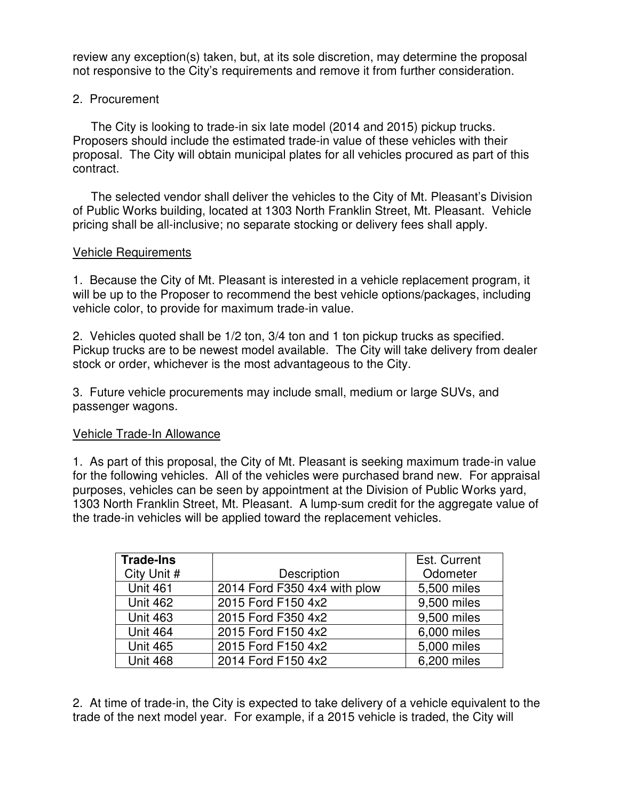review any exception(s) taken, but, at its sole discretion, may determine the proposal not responsive to the City's requirements and remove it from further consideration.

## 2. Procurement

 The City is looking to trade-in six late model (2014 and 2015) pickup trucks. Proposers should include the estimated trade-in value of these vehicles with their proposal. The City will obtain municipal plates for all vehicles procured as part of this contract.

 The selected vendor shall deliver the vehicles to the City of Mt. Pleasant's Division of Public Works building, located at 1303 North Franklin Street, Mt. Pleasant. Vehicle pricing shall be all-inclusive; no separate stocking or delivery fees shall apply.

#### Vehicle Requirements

1. Because the City of Mt. Pleasant is interested in a vehicle replacement program, it will be up to the Proposer to recommend the best vehicle options/packages, including vehicle color, to provide for maximum trade-in value.

2. Vehicles quoted shall be 1/2 ton, 3/4 ton and 1 ton pickup trucks as specified. Pickup trucks are to be newest model available. The City will take delivery from dealer stock or order, whichever is the most advantageous to the City.

3. Future vehicle procurements may include small, medium or large SUVs, and passenger wagons.

#### Vehicle Trade-In Allowance

1. As part of this proposal, the City of Mt. Pleasant is seeking maximum trade-in value for the following vehicles. All of the vehicles were purchased brand new. For appraisal purposes, vehicles can be seen by appointment at the Division of Public Works yard, 1303 North Franklin Street, Mt. Pleasant. A lump-sum credit for the aggregate value of the trade-in vehicles will be applied toward the replacement vehicles.

| <b>Trade-Ins</b> |                              | Est. Current |
|------------------|------------------------------|--------------|
| City Unit #      | Description                  | Odometer     |
| <b>Unit 461</b>  | 2014 Ford F350 4x4 with plow | 5,500 miles  |
| <b>Unit 462</b>  | 2015 Ford F150 4x2           | 9,500 miles  |
| <b>Unit 463</b>  | 2015 Ford F350 4x2           | 9,500 miles  |
| <b>Unit 464</b>  | 2015 Ford F150 4x2           | 6,000 miles  |
| <b>Unit 465</b>  | 2015 Ford F150 4x2           | 5,000 miles  |
| <b>Unit 468</b>  | 2014 Ford F150 4x2           | 6,200 miles  |

2. At time of trade-in, the City is expected to take delivery of a vehicle equivalent to the trade of the next model year. For example, if a 2015 vehicle is traded, the City will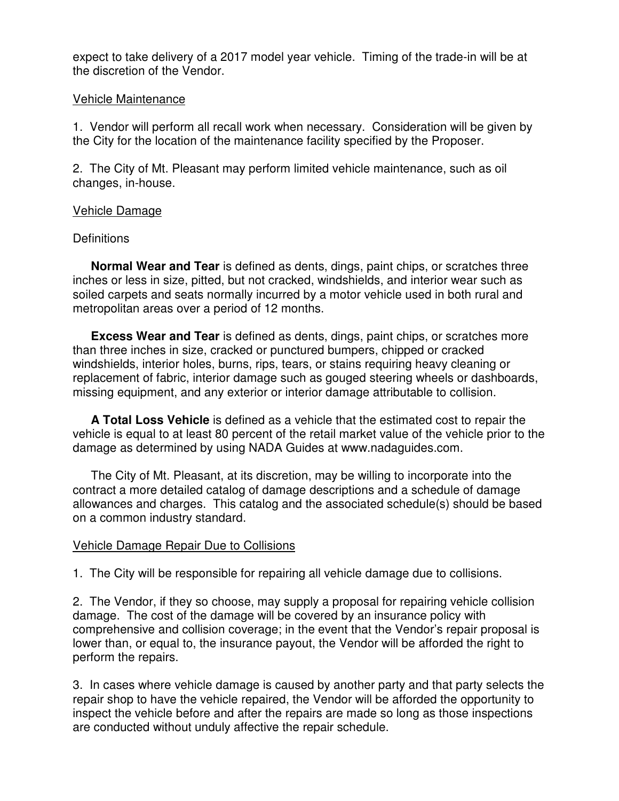expect to take delivery of a 2017 model year vehicle. Timing of the trade-in will be at the discretion of the Vendor.

#### Vehicle Maintenance

1. Vendor will perform all recall work when necessary. Consideration will be given by the City for the location of the maintenance facility specified by the Proposer.

2. The City of Mt. Pleasant may perform limited vehicle maintenance, such as oil changes, in-house.

#### Vehicle Damage

#### **Definitions**

**Normal Wear and Tear** is defined as dents, dings, paint chips, or scratches three inches or less in size, pitted, but not cracked, windshields, and interior wear such as soiled carpets and seats normally incurred by a motor vehicle used in both rural and metropolitan areas over a period of 12 months.

**Excess Wear and Tear** is defined as dents, dings, paint chips, or scratches more than three inches in size, cracked or punctured bumpers, chipped or cracked windshields, interior holes, burns, rips, tears, or stains requiring heavy cleaning or replacement of fabric, interior damage such as gouged steering wheels or dashboards, missing equipment, and any exterior or interior damage attributable to collision.

**A Total Loss Vehicle** is defined as a vehicle that the estimated cost to repair the vehicle is equal to at least 80 percent of the retail market value of the vehicle prior to the damage as determined by using NADA Guides at www.nadaguides.com.

 The City of Mt. Pleasant, at its discretion, may be willing to incorporate into the contract a more detailed catalog of damage descriptions and a schedule of damage allowances and charges. This catalog and the associated schedule(s) should be based on a common industry standard.

#### Vehicle Damage Repair Due to Collisions

1. The City will be responsible for repairing all vehicle damage due to collisions.

2. The Vendor, if they so choose, may supply a proposal for repairing vehicle collision damage. The cost of the damage will be covered by an insurance policy with comprehensive and collision coverage; in the event that the Vendor's repair proposal is lower than, or equal to, the insurance payout, the Vendor will be afforded the right to perform the repairs.

3. In cases where vehicle damage is caused by another party and that party selects the repair shop to have the vehicle repaired, the Vendor will be afforded the opportunity to inspect the vehicle before and after the repairs are made so long as those inspections are conducted without unduly affective the repair schedule.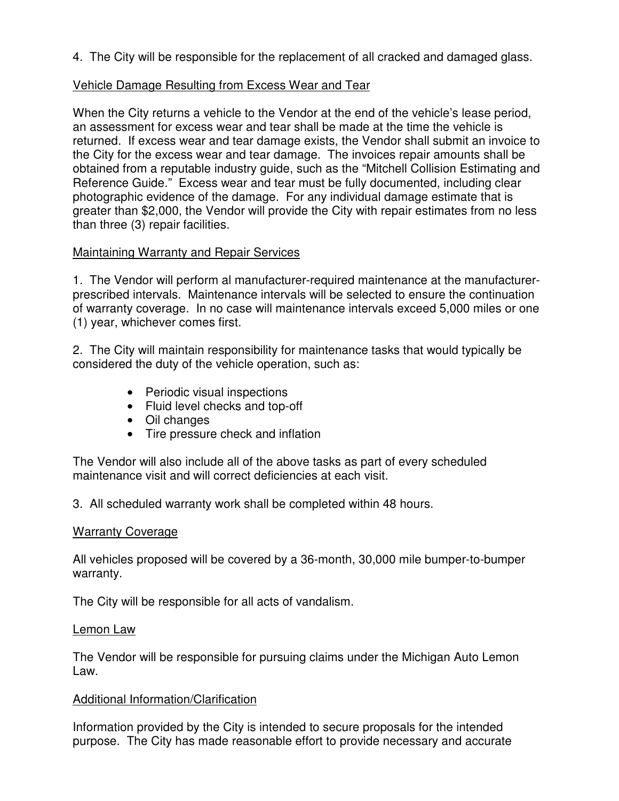4. The City will be responsible for the replacement of all cracked and damaged glass.

#### Vehicle Damage Resulting from Excess Wear and Tear

When the City returns a vehicle to the Vendor at the end of the vehicle's lease period, an assessment for excess wear and tear shall be made at the time the vehicle is returned. If excess wear and tear damage exists, the Vendor shall submit an invoice to the City for the excess wear and tear damage. The invoices repair amounts shall be obtained from a reputable industry guide, such as the "Mitchell Collision Estimating and Reference Guide." Excess wear and tear must be fully documented, including clear photographic evidence of the damage. For any individual damage estimate that is greater than \$2,000, the Vendor will provide the City with repair estimates from no less than three (3) repair facilities.

#### Maintaining Warranty and Repair Services

1. The Vendor will perform al manufacturer-required maintenance at the manufacturerprescribed intervals. Maintenance intervals will be selected to ensure the continuation of warranty coverage. In no case will maintenance intervals exceed 5,000 miles or one (1) year, whichever comes first.

2. The City will maintain responsibility for maintenance tasks that would typically be considered the duty of the vehicle operation, such as:

- Periodic visual inspections
- Fluid level checks and top-off
- Oil changes
- Tire pressure check and inflation

The Vendor will also include all of the above tasks as part of every scheduled maintenance visit and will correct deficiencies at each visit.

3. All scheduled warranty work shall be completed within 48 hours.

#### Warranty Coverage

All vehicles proposed will be covered by a 36-month, 30,000 mile bumper-to-bumper warranty.

The City will be responsible for all acts of vandalism.

#### Lemon Law

The Vendor will be responsible for pursuing claims under the Michigan Auto Lemon Law.

## Additional Information/Clarification

Information provided by the City is intended to secure proposals for the intended purpose. The City has made reasonable effort to provide necessary and accurate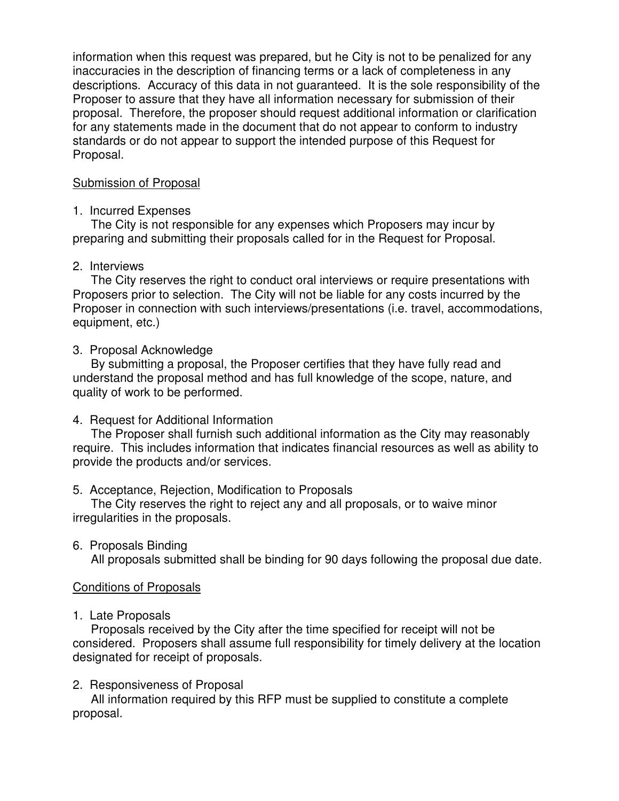information when this request was prepared, but he City is not to be penalized for any inaccuracies in the description of financing terms or a lack of completeness in any descriptions. Accuracy of this data in not guaranteed. It is the sole responsibility of the Proposer to assure that they have all information necessary for submission of their proposal. Therefore, the proposer should request additional information or clarification for any statements made in the document that do not appear to conform to industry standards or do not appear to support the intended purpose of this Request for Proposal.

## Submission of Proposal

#### 1. Incurred Expenses

 The City is not responsible for any expenses which Proposers may incur by preparing and submitting their proposals called for in the Request for Proposal.

## 2. Interviews

 The City reserves the right to conduct oral interviews or require presentations with Proposers prior to selection. The City will not be liable for any costs incurred by the Proposer in connection with such interviews/presentations (i.e. travel, accommodations, equipment, etc.)

## 3. Proposal Acknowledge

 By submitting a proposal, the Proposer certifies that they have fully read and understand the proposal method and has full knowledge of the scope, nature, and quality of work to be performed.

## 4. Request for Additional Information

 The Proposer shall furnish such additional information as the City may reasonably require. This includes information that indicates financial resources as well as ability to provide the products and/or services.

## 5. Acceptance, Rejection, Modification to Proposals

 The City reserves the right to reject any and all proposals, or to waive minor irregularities in the proposals.

6. Proposals Binding

All proposals submitted shall be binding for 90 days following the proposal due date.

## Conditions of Proposals

## 1. Late Proposals

 Proposals received by the City after the time specified for receipt will not be considered. Proposers shall assume full responsibility for timely delivery at the location designated for receipt of proposals.

#### 2. Responsiveness of Proposal

 All information required by this RFP must be supplied to constitute a complete proposal.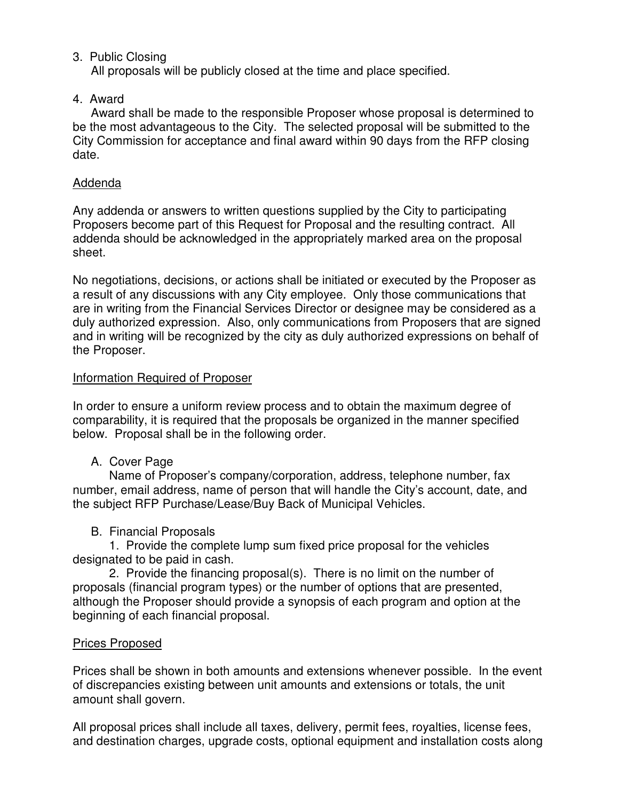## 3. Public Closing

All proposals will be publicly closed at the time and place specified.

## 4. Award

 Award shall be made to the responsible Proposer whose proposal is determined to be the most advantageous to the City. The selected proposal will be submitted to the City Commission for acceptance and final award within 90 days from the RFP closing date.

## Addenda

Any addenda or answers to written questions supplied by the City to participating Proposers become part of this Request for Proposal and the resulting contract. All addenda should be acknowledged in the appropriately marked area on the proposal sheet.

No negotiations, decisions, or actions shall be initiated or executed by the Proposer as a result of any discussions with any City employee. Only those communications that are in writing from the Financial Services Director or designee may be considered as a duly authorized expression. Also, only communications from Proposers that are signed and in writing will be recognized by the city as duly authorized expressions on behalf of the Proposer.

## Information Required of Proposer

In order to ensure a uniform review process and to obtain the maximum degree of comparability, it is required that the proposals be organized in the manner specified below. Proposal shall be in the following order.

## A. Cover Page

 Name of Proposer's company/corporation, address, telephone number, fax number, email address, name of person that will handle the City's account, date, and the subject RFP Purchase/Lease/Buy Back of Municipal Vehicles.

## B. Financial Proposals

 1. Provide the complete lump sum fixed price proposal for the vehicles designated to be paid in cash.

 2. Provide the financing proposal(s). There is no limit on the number of proposals (financial program types) or the number of options that are presented, although the Proposer should provide a synopsis of each program and option at the beginning of each financial proposal.

#### Prices Proposed

Prices shall be shown in both amounts and extensions whenever possible. In the event of discrepancies existing between unit amounts and extensions or totals, the unit amount shall govern.

All proposal prices shall include all taxes, delivery, permit fees, royalties, license fees, and destination charges, upgrade costs, optional equipment and installation costs along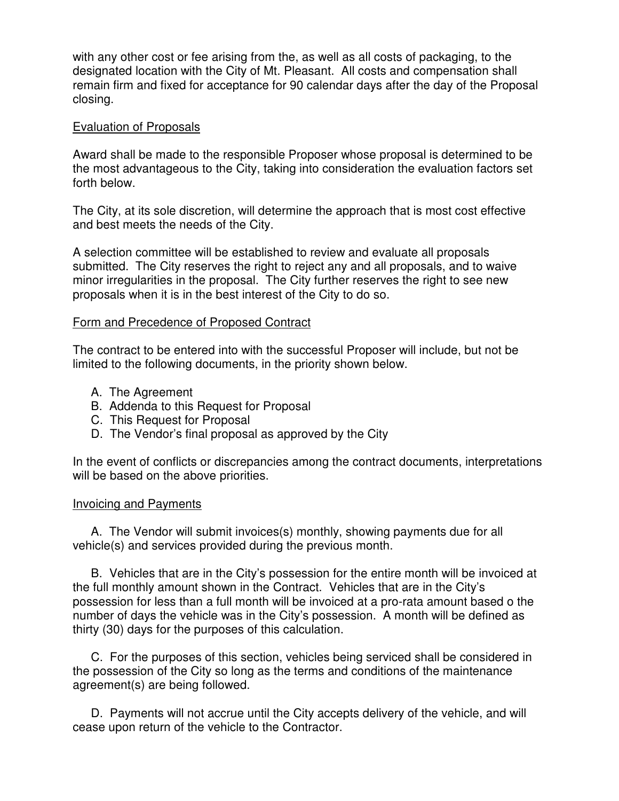with any other cost or fee arising from the, as well as all costs of packaging, to the designated location with the City of Mt. Pleasant. All costs and compensation shall remain firm and fixed for acceptance for 90 calendar days after the day of the Proposal closing.

#### Evaluation of Proposals

Award shall be made to the responsible Proposer whose proposal is determined to be the most advantageous to the City, taking into consideration the evaluation factors set forth below.

The City, at its sole discretion, will determine the approach that is most cost effective and best meets the needs of the City.

A selection committee will be established to review and evaluate all proposals submitted. The City reserves the right to reject any and all proposals, and to waive minor irregularities in the proposal. The City further reserves the right to see new proposals when it is in the best interest of the City to do so.

#### Form and Precedence of Proposed Contract

The contract to be entered into with the successful Proposer will include, but not be limited to the following documents, in the priority shown below.

- A. The Agreement
- B. Addenda to this Request for Proposal
- C. This Request for Proposal
- D. The Vendor's final proposal as approved by the City

In the event of conflicts or discrepancies among the contract documents, interpretations will be based on the above priorities.

#### Invoicing and Payments

 A. The Vendor will submit invoices(s) monthly, showing payments due for all vehicle(s) and services provided during the previous month.

 B. Vehicles that are in the City's possession for the entire month will be invoiced at the full monthly amount shown in the Contract. Vehicles that are in the City's possession for less than a full month will be invoiced at a pro-rata amount based o the number of days the vehicle was in the City's possession. A month will be defined as thirty (30) days for the purposes of this calculation.

 C. For the purposes of this section, vehicles being serviced shall be considered in the possession of the City so long as the terms and conditions of the maintenance agreement(s) are being followed.

 D. Payments will not accrue until the City accepts delivery of the vehicle, and will cease upon return of the vehicle to the Contractor.